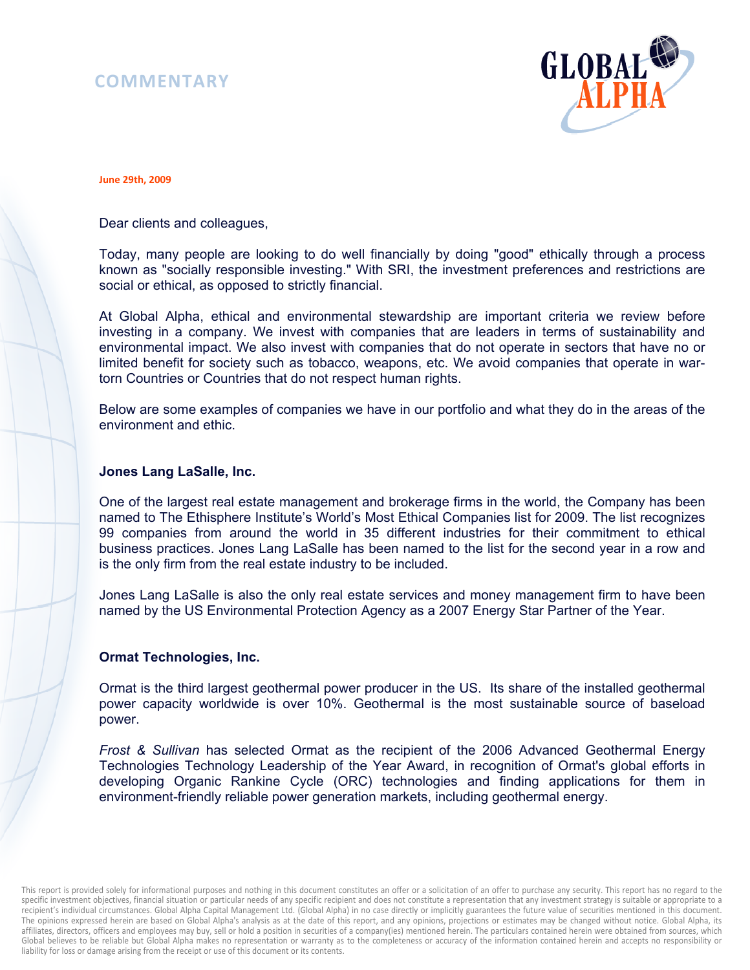# **COMMENTARY**



#### **June 29th, 2009**

Dear clients and colleagues,

Today, many people are looking to do well financially by doing "good" ethically through a process known as "socially responsible investing." With SRI, the investment preferences and restrictions are social or ethical, as opposed to strictly financial.

At Global Alpha, ethical and environmental stewardship are important criteria we review before investing in a company. We invest with companies that are leaders in terms of sustainability and environmental impact. We also invest with companies that do not operate in sectors that have no or limited benefit for society such as tobacco, weapons, etc. We avoid companies that operate in wartorn Countries or Countries that do not respect human rights.

Below are some examples of companies we have in our portfolio and what they do in the areas of the environment and ethic.

### **Jones Lang LaSalle, Inc.**

One of the largest real estate management and brokerage firms in the world, the Company has been named to The Ethisphere Institute's World's Most Ethical Companies list for 2009. The list recognizes 99 companies from around the world in 35 different industries for their commitment to ethical business practices. Jones Lang LaSalle has been named to the list for the second year in a row and is the only firm from the real estate industry to be included.

Jones Lang LaSalle is also the only real estate services and money management firm to have been named by the US Environmental Protection Agency as a 2007 Energy Star Partner of the Year.

#### **Ormat Technologies, Inc.**

Ormat is the third largest geothermal power producer in the US. Its share of the installed geothermal power capacity worldwide is over 10%. Geothermal is the most sustainable source of baseload power.

*Frost & Sullivan* has selected Ormat as the recipient of the 2006 Advanced Geothermal Energy Technologies Technology Leadership of the Year Award, in recognition of Ormat's global efforts in developing Organic Rankine Cycle (ORC) technologies and finding applications for them in environment-friendly reliable power generation markets, including geothermal energy.

This report is provided solely for informational purposes and nothing in this document constitutes an offer or a solicitation of an offer to purchase any security. This report has no regard to the specific investment objectives, financial situation or particular needs of any specific recipient and does not constitute a representation that any investment strategy is suitable or appropriate to a recipient's individual circumstances. Global Alpha Capital Management Ltd. (Global Alpha) in no case directly or implicitly guarantees the future value of securities mentioned in this document. The opinions expressed herein are based on Global Alpha's analysis as at the date of this report, and any opinions, projections or estimates may be changed without notice. Global Alpha, its affiliates, directors, officers and employees may buy, sell or hold a position in securities of a company(ies) mentioned herein. The particulars contained herein were obtained from sources, which Global believes to be reliable but Global Alpha makes no representation or warranty as to the completeness or accuracy of the information contained herein and accepts no responsibility or liability for loss or damage arising from the receipt or use of this document or its contents.